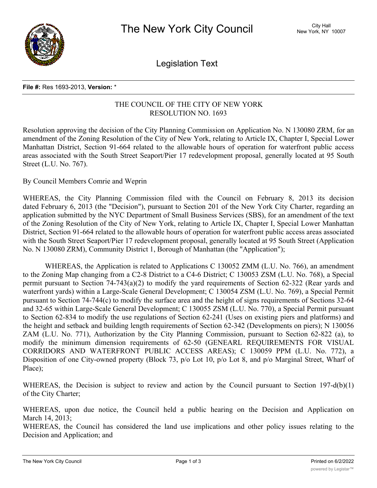

Legislation Text

#### **File #:** Res 1693-2013, **Version:** \*

## THE COUNCIL OF THE CITY OF NEW YORK RESOLUTION NO. 1693

Resolution approving the decision of the City Planning Commission on Application No. N 130080 ZRM, for an amendment of the Zoning Resolution of the City of New York, relating to Article IX, Chapter I, Special Lower Manhattan District, Section 91-664 related to the allowable hours of operation for waterfront public access areas associated with the South Street Seaport/Pier 17 redevelopment proposal, generally located at 95 South Street (L.U. No. 767).

By Council Members Comrie and Weprin

WHEREAS, the City Planning Commission filed with the Council on February 8, 2013 its decision dated February 6, 2013 (the "Decision"), pursuant to Section 201 of the New York City Charter, regarding an application submitted by the NYC Department of Small Business Services (SBS), for an amendment of the text of the Zoning Resolution of the City of New York, relating to Article IX, Chapter I, Special Lower Manhattan District, Section 91-664 related to the allowable hours of operation for waterfront public access areas associated with the South Street Seaport/Pier 17 redevelopment proposal, generally located at 95 South Street (Application No. N 130080 ZRM), Community District 1, Borough of Manhattan (the "Application");

WHEREAS, the Application is related to Applications C 130052 ZMM (L.U. No. 766), an amendment to the Zoning Map changing from a C2-8 District to a C4-6 District; C 130053 ZSM (L.U. No. 768), a Special permit pursuant to Section 74-743(a)(2) to modify the yard requirements of Section 62-322 (Rear yards and waterfront yards) within a Large-Scale General Development; C 130054 ZSM (L.U. No. 769), a Special Permit pursuant to Section 74-744(c) to modify the surface area and the height of signs requirements of Sections 32-64 and 32-65 within Large-Scale General Development; C 130055 ZSM (L.U. No. 770), a Special Permit pursuant to Section 62-834 to modify the use regulations of Section 62-241 (Uses on existing piers and platforms) and the height and setback and building length requirements of Section 62-342 (Developments on piers); N 130056 ZAM (L.U. No. 771), Authorization by the City Planning Commission, pursuant to Section 62-822 (a), to modify the minimum dimension requirements of 62-50 (GENEARL REQUIREMENTS FOR VISUAL CORRIDORS AND WATERFRONT PUBLIC ACCESS AREAS); C 130059 PPM (L.U. No. 772), a Disposition of one City-owned property (Block 73, p/o Lot 10, p/o Lot 8, and p/o Marginal Street, Wharf of Place);

WHEREAS, the Decision is subject to review and action by the Council pursuant to Section 197-d(b)(1) of the City Charter;

WHEREAS, upon due notice, the Council held a public hearing on the Decision and Application on March 14, 2013;

WHEREAS, the Council has considered the land use implications and other policy issues relating to the Decision and Application; and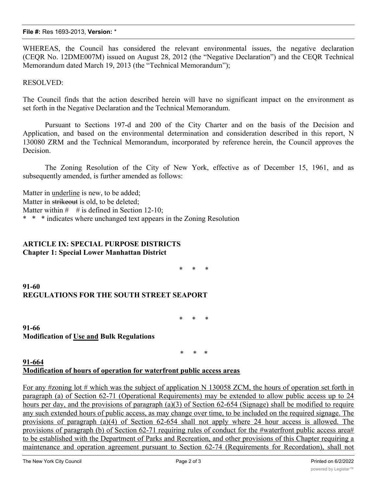### **File #:** Res 1693-2013, **Version:** \*

WHEREAS, the Council has considered the relevant environmental issues, the negative declaration (CEQR No. 12DME007M) issued on August 28, 2012 (the "Negative Declaration") and the CEQR Technical Memorandum dated March 19, 2013 (the "Technical Memorandum");

RESOLVED:

The Council finds that the action described herein will have no significant impact on the environment as set forth in the Negative Declaration and the Technical Memorandum.

Pursuant to Sections 197-d and 200 of the City Charter and on the basis of the Decision and Application, and based on the environmental determination and consideration described in this report, N 130080 ZRM and the Technical Memorandum, incorporated by reference herein, the Council approves the Decision.

The Zoning Resolution of the City of New York, effective as of December 15, 1961, and as subsequently amended, is further amended as follows:

Matter in underline is new, to be added; Matter in strikeout is old, to be deleted: Matter within  $\#$  # is defined in Section 12-10; \* \* \* indicates where unchanged text appears in the Zoning Resolution

# **ARTICLE IX: SPECIAL PURPOSE DISTRICTS Chapter 1: Special Lower Manhattan District**

\* \* \*

**91-60 REGULATIONS FOR THE SOUTH STREET SEAPORT**

\* \* \*

**91-66 Modification of Use and Bulk Regulations**

\* \* \*

# **91-664 Modification of hours of operation for waterfront public access areas**

For any #zoning lot # which was the subject of application N 130058 ZCM, the hours of operation set forth in paragraph (a) of Section 62-71 (Operational Requirements) may be extended to allow public access up to 24 hours per day, and the provisions of paragraph (a)(3) of Section 62-654 (Signage) shall be modified to require any such extended hours of public access, as may change over time, to be included on the required signage. The provisions of paragraph (a)(4) of Section 62-654 shall not apply where 24 hour access is allowed. The provisions of paragraph (b) of Section 62-71 requiring rules of conduct for the #waterfront public access area# to be established with the Department of Parks and Recreation, and other provisions of this Chapter requiring a maintenance and operation agreement pursuant to Section 62-74 (Requirements for Recordation), shall not